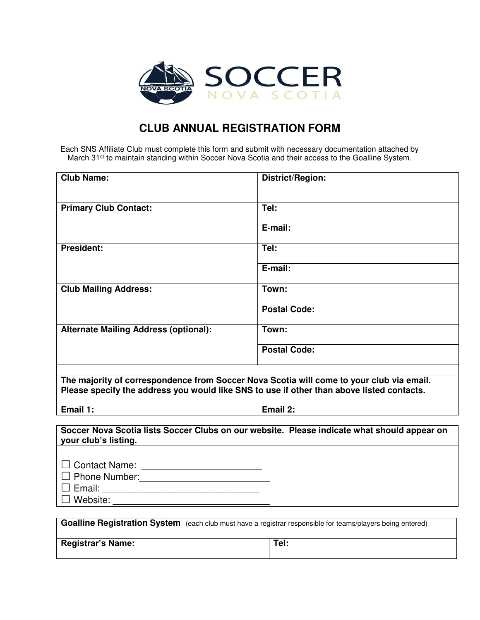

## **CLUB ANNUAL REGISTRATION FORM**

Each SNS Affiliate Club must complete this form and submit with necessary documentation attached by March 31<sup>st</sup> to maintain standing within Soccer Nova Scotia and their access to the Goalline System.

| <b>Club Name:</b>                                                                                          | <b>District/Region:</b>                                                                     |
|------------------------------------------------------------------------------------------------------------|---------------------------------------------------------------------------------------------|
|                                                                                                            |                                                                                             |
|                                                                                                            |                                                                                             |
| <b>Primary Club Contact:</b>                                                                               | Tel:                                                                                        |
|                                                                                                            |                                                                                             |
|                                                                                                            | E-mail:                                                                                     |
|                                                                                                            |                                                                                             |
| <b>President:</b>                                                                                          | Tel:                                                                                        |
|                                                                                                            | E-mail:                                                                                     |
|                                                                                                            |                                                                                             |
| <b>Club Mailing Address:</b>                                                                               | Town:                                                                                       |
|                                                                                                            |                                                                                             |
|                                                                                                            | <b>Postal Code:</b>                                                                         |
| <b>Alternate Mailing Address (optional):</b>                                                               | Town:                                                                                       |
|                                                                                                            |                                                                                             |
|                                                                                                            | <b>Postal Code:</b>                                                                         |
|                                                                                                            |                                                                                             |
|                                                                                                            |                                                                                             |
|                                                                                                            |                                                                                             |
| The majority of correspondence from Soccer Nova Scotia will come to your club via email.                   |                                                                                             |
| Please specify the address you would like SNS to use if other than above listed contacts.                  |                                                                                             |
| Email 1:                                                                                                   | Email 2:                                                                                    |
|                                                                                                            |                                                                                             |
|                                                                                                            | Soccer Nova Scotia lists Soccer Clubs on our website. Please indicate what should appear on |
| your club's listing.                                                                                       |                                                                                             |
|                                                                                                            |                                                                                             |
|                                                                                                            |                                                                                             |
|                                                                                                            |                                                                                             |
|                                                                                                            |                                                                                             |
| $\Box$ Website:                                                                                            |                                                                                             |
|                                                                                                            |                                                                                             |
| Goalline Registration System (each club must have a registrar responsible for teams/players being entered) |                                                                                             |
| <b>Registrar's Name:</b>                                                                                   | Tel:                                                                                        |